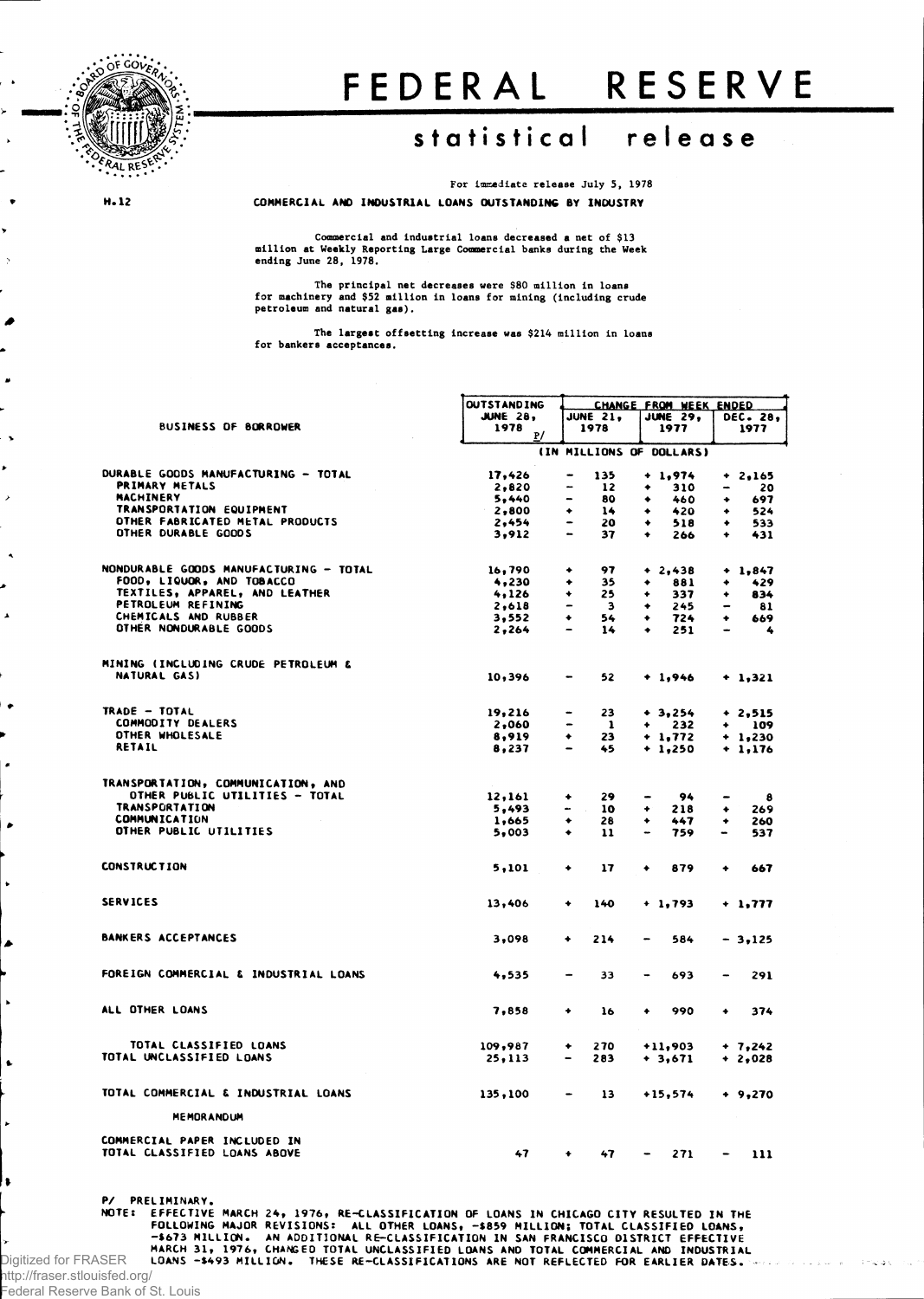

## FEDERAL RESERVE

## **statistica l releas e**

For immediate release July 5, 1978 **COMMERCIAL AND INDUSTRIAL LOANS OUTSTANDING BY INDUSTRY**

**H. 12**

A

Commercial and Industrial loans decreased a net of \$13 million at Weekly Reporting Large Commercial banks during the Week ending June 28, 1978.

The principal net decreases were \$80 million in loans for machinery and \$52 million in loans for mining (including crude petroleum and natural gas).

The largest offsetting increase was \$214 million in loans for bankers acceptances.

|                                            | <b>OUTSTANDING</b> | CHANGE FROM WEEK ENDED                                  |                                                                                                                                                          |                                 |
|--------------------------------------------|--------------------|---------------------------------------------------------|----------------------------------------------------------------------------------------------------------------------------------------------------------|---------------------------------|
|                                            | <b>JUNE 28,</b>    | <b>JUNE 21,</b>                                         | <b>JUNE 29,</b>                                                                                                                                          | DEC. 28,                        |
| <b>BUSINESS OF BORROWER</b>                | 1978<br>P/         | 1978                                                    | 1977                                                                                                                                                     | 1977                            |
|                                            |                    | (IN MILLIONS OF DOLLARS)                                |                                                                                                                                                          |                                 |
| DURABLE GOODS MANUFACTURING - TOTAL        | 17,426             | 135<br>$\overline{\phantom{a}}$                         | $+ 1,974$                                                                                                                                                | $+ 2,165$                       |
| <b>PRIMARY METALS</b>                      | 2,820              | <b></b><br>12                                           | 310<br>٠                                                                                                                                                 | 20<br>$\rightarrow$             |
| MACHINERY                                  | 5,440              | 80                                                      | ٠<br>460                                                                                                                                                 | 697<br>۰                        |
| TRANSPORTATION EQUIPMENT                   | 2,800              | 14<br>٠                                                 | 420<br>٠                                                                                                                                                 | 524<br>٠                        |
| OTHER FABRICATED METAL PRODUCTS            | 2,454              | $\overline{\phantom{0}}$<br>20                          | ۰<br>518                                                                                                                                                 | 533<br>۰                        |
| OTHER DURABLE GOODS                        | 3,912              | 37                                                      | ٠<br>266                                                                                                                                                 | $\bullet$<br>431                |
|                                            |                    |                                                         |                                                                                                                                                          |                                 |
| NONDURABLE GOODS MANUFACTURING - TOTAL     | 16,790             | 97<br>٠                                                 | $+2,438$                                                                                                                                                 | $+ 1,847$                       |
| FOOD, LIQUOR, AND TOBACCO                  | 4,230              | 35<br>٠                                                 | 881<br>۰                                                                                                                                                 | 429                             |
| TEXTILES, APPAREL, AND LEATHER             | 4.126              | 25<br>۰                                                 | 337<br>٠                                                                                                                                                 | 834<br>۰                        |
| PETROLEUM REFINING<br>CHEMICALS AND RUBBER | 2,618              | $\qquad \qquad \blacksquare$<br>$\overline{\mathbf{3}}$ | 245<br>۰                                                                                                                                                 | 81                              |
| OTHER NONDURABLE GOODS                     | 3,552<br>2,264     | ٠<br>54<br>14<br>$\overline{\phantom{0}}$               | 724<br>٠<br>251<br>٠                                                                                                                                     | 669<br>٠<br>4                   |
|                                            |                    |                                                         |                                                                                                                                                          |                                 |
| MINING (INCLUDING CRUDE PETROLEUM &        |                    |                                                         |                                                                                                                                                          |                                 |
| NATURAL GAS)                               | 10,396             | 52<br>۰                                                 | $+1,946$                                                                                                                                                 | $+ 1,321$                       |
| TRADE - TOTAL                              | 19,216             | 23<br>-                                                 | $+ 3,254$                                                                                                                                                | $+2,515$                        |
| COMMODITY DEALERS                          | 2,060              | $\qquad \qquad \blacksquare$<br>- 1                     | 232<br>٠                                                                                                                                                 | $+ 109$                         |
| OTHER WHOLESALE                            | 8,919              | ٠<br>23                                                 | $+1,772$                                                                                                                                                 | $+ 1,230$                       |
| <b>RETAIL</b>                              | 8,237              | $\overline{\phantom{0}}$<br>45                          | $+ 1,250$                                                                                                                                                | $+ 1,176$                       |
| TRANSPORTATION, COMMUNICATION, AND         |                    |                                                         |                                                                                                                                                          |                                 |
| OTHER PUBLIC UTILITIES - TOTAL             | 12,161             | 29<br>٠                                                 | 94                                                                                                                                                       |                                 |
| <b>TRANSPORTATION</b>                      | 5,493              | 10                                                      | 218<br>٠                                                                                                                                                 | 8<br>269<br>٠                   |
| <b>COMMUNICATION</b>                       | 1,665              | ٠<br>28                                                 | ۰<br>447                                                                                                                                                 | ۰<br>260                        |
| OTHER PUBLIC UTILITIES                     | 5,003              | ٠<br>11                                                 | 759<br>-                                                                                                                                                 | 537                             |
|                                            |                    |                                                         |                                                                                                                                                          |                                 |
| <b>CONSTRUCTION</b>                        | 5,101              | 17<br>٠                                                 | 879<br>۰                                                                                                                                                 | ٠<br>667                        |
| <b>SERVICES</b>                            | 13,406             | 140<br>۰                                                | $+ 1,793$                                                                                                                                                | + 1,777                         |
|                                            |                    |                                                         |                                                                                                                                                          |                                 |
| <b>BANKERS ACCEPTANCES</b>                 | 3,098              | 214<br>٠                                                | 584<br>$\overline{\phantom{0}}$                                                                                                                          | - 3,125                         |
| FOREIGN COMMERCIAL & INDUSTRIAL LOANS      | 4,535              | 33                                                      | 693<br>$\blacksquare$                                                                                                                                    | 291                             |
| ALL OTHER LOANS                            | 7,858              | ۰<br>16                                                 | 990<br>٠                                                                                                                                                 | 374<br>۰                        |
|                                            |                    |                                                         |                                                                                                                                                          |                                 |
| TOTAL CLASSIFIED LOANS                     | 109,987            | 270<br>۰                                                | $+11,903$                                                                                                                                                | $+ 7,242$                       |
| TOTAL UNCLASSIFIED LOANS                   | 25,113             | 283                                                     | $+3,671$                                                                                                                                                 | $+2,028$                        |
| TOTAL COMMERCIAL & INDUSTRIAL LOANS        | 135,100            | 13<br>$\qquad \qquad \blacksquare$                      | $+15,574$                                                                                                                                                | $+ 9,270$                       |
| <b>MEMORANDUM</b>                          |                    |                                                         |                                                                                                                                                          |                                 |
| COMMERCIAL PAPER INCLUDED IN               |                    |                                                         |                                                                                                                                                          |                                 |
| TOTAL CLASSIFIED LOANS ABOVE               | 47                 | 47<br>٠                                                 | 271<br>$\hskip1.6pt\hskip1.6pt\hskip1.6pt\hskip1.6pt\hskip1.6pt\hskip1.6pt\hskip1.6pt\hskip1.6pt\hskip1.6pt\hskip1.6pt\hskip1.6pt\hskip1.6pt\hskip1.6pt$ | 111<br>$\overline{\phantom{0}}$ |

**P/ PRELIMINARY.**

NOTE: EFFECTIVE MARCH 24, 1976, RE-CLASSIFICATION OF LOANS IN CHICAGO CITY RESULTED IN THE<br>FOLLOWING MAJOR REVISIONS: ALL OTHER LOANS, -\$859 MILLION; CLASSIFICATION; AN ADDITION: AN ADDITION: AND TOTAL CLASSIFICATION<br>FARCH

http://fraser.stlouisfed.org/ Federal Reserve Bank of St. Louis

à.